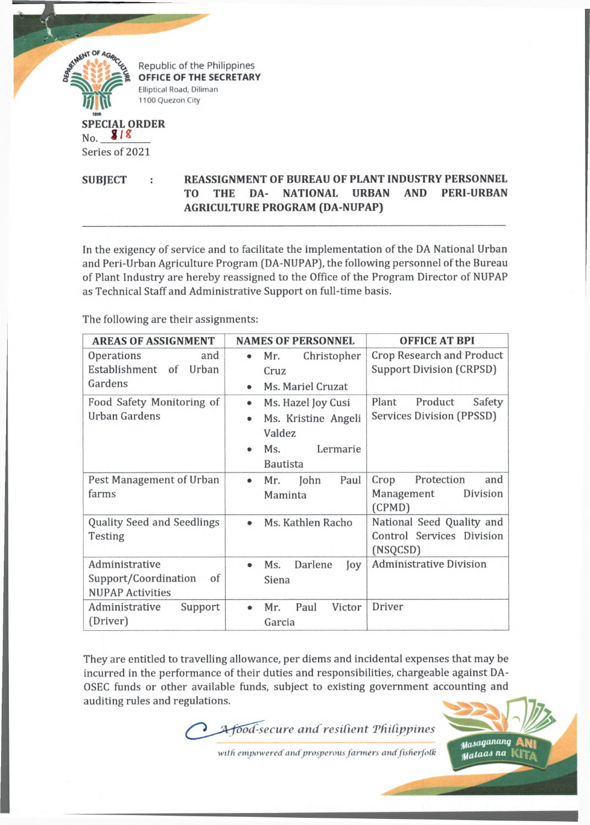

**SUBJECT : REASSIGNMENT OF BUREAU OF PLANT INDUSTRY PERSONNEL TO THE DA- NATIONAL URBAN AND PERI-URBAN AGRICULTURE PROGRAM (DA-NUPAP)**

In the exigency of service and to facilitate the implementation of the DA National Urban and Peri-Urban Agriculture Program (DA-NUPAP), the following personnel of the Bureau of Plant Industry are hereby reassigned to the Office of the Program Director of NUPAP as Technical Staff and Administrative Support on full-time basis.

The following are their assignments:

| <b>AREAS OF ASSIGNMENT</b>        | <b>NAMES OF PERSONNEL</b>                     | <b>OFFICE AT BPI</b>             |
|-----------------------------------|-----------------------------------------------|----------------------------------|
| Operations<br>and                 | Christopher<br>Mr.<br>$\qquad \qquad \bullet$ | <b>Crop Research and Product</b> |
| Establishment of<br>Urban         | Cruz                                          | <b>Support Division (CRPSD)</b>  |
| Gardens                           | Ms. Mariel Cruzat                             |                                  |
| Food Safety Monitoring of         | Ms. Hazel Joy Cusi<br>٠                       | Product<br>Plant<br>Safety       |
| <b>Urban Gardens</b>              | Ms. Kristine Angeli                           | Services Division (PPSSD)        |
|                                   | Valdez                                        |                                  |
|                                   | Lermarie<br>Ms.                               |                                  |
|                                   | <b>Bautista</b>                               |                                  |
| Pest Management of Urban          | Paul<br>Mr.<br>John<br>$\bullet$              | Protection<br>Crop<br>and        |
| farms                             | Maminta                                       | Division<br>Management<br>(CPMD) |
| <b>Quality Seed and Seedlings</b> | Ms. Kathlen Racho                             | National Seed Quality and        |
| Testing                           |                                               | Control Services Division        |
|                                   |                                               | (NSQCSD)                         |
| Administrative                    | Darlene<br>Ms.<br>Joy                         | <b>Administrative Division</b>   |
| Support/Coordination<br>of        | Siena                                         |                                  |
| <b>NUPAP Activities</b>           |                                               |                                  |
| Administrative<br>Support         | Paul<br>Victor<br>Mr.                         | Driver                           |
| (Driver)                          | Garcia                                        |                                  |

They are entitled to travelling allowance, per diems and incidental expenses that may be incurred in the performance of their duties and responsibilities, chargeable against DA-OSEC funds or other available funds, subject to existing government accounting and auditing rules and regulations.

*lod-secure and resilient 'Philippines*

with empowered and prosperous farmers and fisherfolk